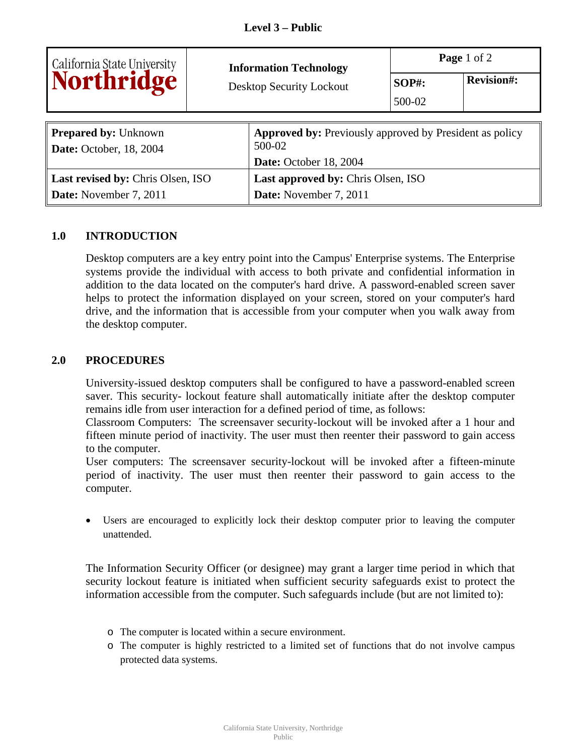|                                           | <b>Information Technology</b> |                                                                | Page 1 of 2 |                   |  |
|-------------------------------------------|-------------------------------|----------------------------------------------------------------|-------------|-------------------|--|
| California State University<br>Northridge |                               | Desktop Security Lockout                                       | $SOP#$ :    | <b>Revision#:</b> |  |
|                                           |                               |                                                                | 500-02      |                   |  |
|                                           |                               |                                                                |             |                   |  |
| <b>Prepared by: Unknown</b>               |                               | <b>Approved by:</b> Previously approved by President as policy |             |                   |  |
| <b>Date:</b> October, 18, 2004            |                               | 500-02                                                         |             |                   |  |
|                                           |                               | Date: October 18, 2004                                         |             |                   |  |
| Last revised by: Chris Olsen, ISO         |                               | Last approved by: Chris Olsen, ISO                             |             |                   |  |
| Date: November 7, 2011                    |                               | Date: November 7, 2011                                         |             |                   |  |

## **1.0 INTRODUCTION**

Desktop computers are a key entry point into the Campus' Enterprise systems. The Enterprise systems provide the individual with access to both private and confidential information in addition to the data located on the computer's hard drive. A password-enabled screen saver helps to protect the information displayed on your screen, stored on your computer's hard drive, and the information that is accessible from your computer when you walk away from the desktop computer.

## **2.0 PROCEDURES**

University-issued desktop computers shall be configured to have a password-enabled screen saver. This security- lockout feature shall automatically initiate after the desktop computer remains idle from user interaction for a defined period of time, as follows:

Classroom Computers: The screensaver security-lockout will be invoked after a 1 hour and fifteen minute period of inactivity. The user must then reenter their password to gain access to the computer.

User computers: The screensaver security-lockout will be invoked after a fifteen-minute period of inactivity. The user must then reenter their password to gain access to the computer.

 Users are encouraged to explicitly lock their desktop computer prior to leaving the computer unattended.

The Information Security Officer (or designee) may grant a larger time period in which that security lockout feature is initiated when sufficient security safeguards exist to protect the information accessible from the computer. Such safeguards include (but are not limited to):

- o The computer is located within a secure environment.
- o The computer is highly restricted to a limited set of functions that do not involve campus protected data systems.